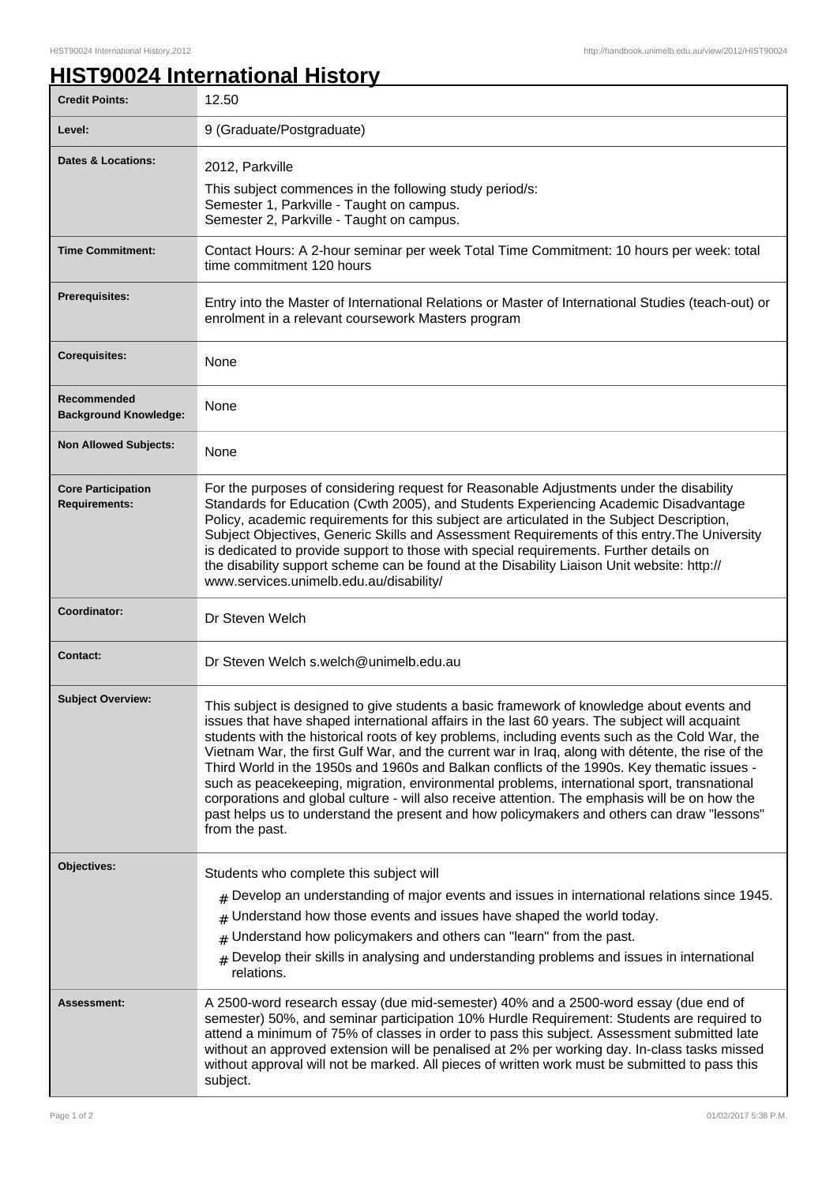## **HIST90024 International History**

| <b>Credit Points:</b>                             | 12.50                                                                                                                                                                                                                                                                                                                                                                                                                                                                                                                                                                                                                                                                                                                                                                                                             |
|---------------------------------------------------|-------------------------------------------------------------------------------------------------------------------------------------------------------------------------------------------------------------------------------------------------------------------------------------------------------------------------------------------------------------------------------------------------------------------------------------------------------------------------------------------------------------------------------------------------------------------------------------------------------------------------------------------------------------------------------------------------------------------------------------------------------------------------------------------------------------------|
| Level:                                            | 9 (Graduate/Postgraduate)                                                                                                                                                                                                                                                                                                                                                                                                                                                                                                                                                                                                                                                                                                                                                                                         |
| <b>Dates &amp; Locations:</b>                     | 2012, Parkville<br>This subject commences in the following study period/s:<br>Semester 1, Parkville - Taught on campus.<br>Semester 2, Parkville - Taught on campus.                                                                                                                                                                                                                                                                                                                                                                                                                                                                                                                                                                                                                                              |
| <b>Time Commitment:</b>                           | Contact Hours: A 2-hour seminar per week Total Time Commitment: 10 hours per week: total<br>time commitment 120 hours                                                                                                                                                                                                                                                                                                                                                                                                                                                                                                                                                                                                                                                                                             |
| Prerequisites:                                    | Entry into the Master of International Relations or Master of International Studies (teach-out) or<br>enrolment in a relevant coursework Masters program                                                                                                                                                                                                                                                                                                                                                                                                                                                                                                                                                                                                                                                          |
| <b>Corequisites:</b>                              | None                                                                                                                                                                                                                                                                                                                                                                                                                                                                                                                                                                                                                                                                                                                                                                                                              |
| Recommended<br><b>Background Knowledge:</b>       | None                                                                                                                                                                                                                                                                                                                                                                                                                                                                                                                                                                                                                                                                                                                                                                                                              |
| <b>Non Allowed Subjects:</b>                      | None                                                                                                                                                                                                                                                                                                                                                                                                                                                                                                                                                                                                                                                                                                                                                                                                              |
| <b>Core Participation</b><br><b>Requirements:</b> | For the purposes of considering request for Reasonable Adjustments under the disability<br>Standards for Education (Cwth 2005), and Students Experiencing Academic Disadvantage<br>Policy, academic requirements for this subject are articulated in the Subject Description,<br>Subject Objectives, Generic Skills and Assessment Requirements of this entry. The University<br>is dedicated to provide support to those with special requirements. Further details on<br>the disability support scheme can be found at the Disability Liaison Unit website: http://<br>www.services.unimelb.edu.au/disability/                                                                                                                                                                                                  |
| Coordinator:                                      | Dr Steven Welch                                                                                                                                                                                                                                                                                                                                                                                                                                                                                                                                                                                                                                                                                                                                                                                                   |
| <b>Contact:</b>                                   | Dr Steven Welch s.welch@unimelb.edu.au                                                                                                                                                                                                                                                                                                                                                                                                                                                                                                                                                                                                                                                                                                                                                                            |
| <b>Subject Overview:</b>                          | This subject is designed to give students a basic framework of knowledge about events and<br>issues that have shaped international affairs in the last 60 years. The subject will acquaint<br>students with the historical roots of key problems, including events such as the Cold War, the<br>Vietnam War, the first Gulf War, and the current war in Iraq, along with détente, the rise of the<br>Third World in the 1950s and 1960s and Balkan conflicts of the 1990s. Key thematic issues -<br>such as peacekeeping, migration, environmental problems, international sport, transnational<br>corporations and global culture - will also receive attention. The emphasis will be on how the<br>past helps us to understand the present and how policymakers and others can draw "lessons"<br>from the past. |
| Objectives:                                       | Students who complete this subject will                                                                                                                                                                                                                                                                                                                                                                                                                                                                                                                                                                                                                                                                                                                                                                           |
|                                                   | $#$ Develop an understanding of major events and issues in international relations since 1945.<br>Understand how those events and issues have shaped the world today.<br>#<br>Understand how policymakers and others can "learn" from the past.<br>#<br>$#$ Develop their skills in analysing and understanding problems and issues in international<br>relations.                                                                                                                                                                                                                                                                                                                                                                                                                                                |
| Assessment:                                       | A 2500-word research essay (due mid-semester) 40% and a 2500-word essay (due end of<br>semester) 50%, and seminar participation 10% Hurdle Requirement: Students are required to<br>attend a minimum of 75% of classes in order to pass this subject. Assessment submitted late<br>without an approved extension will be penalised at 2% per working day. In-class tasks missed<br>without approval will not be marked. All pieces of written work must be submitted to pass this<br>subject.                                                                                                                                                                                                                                                                                                                     |